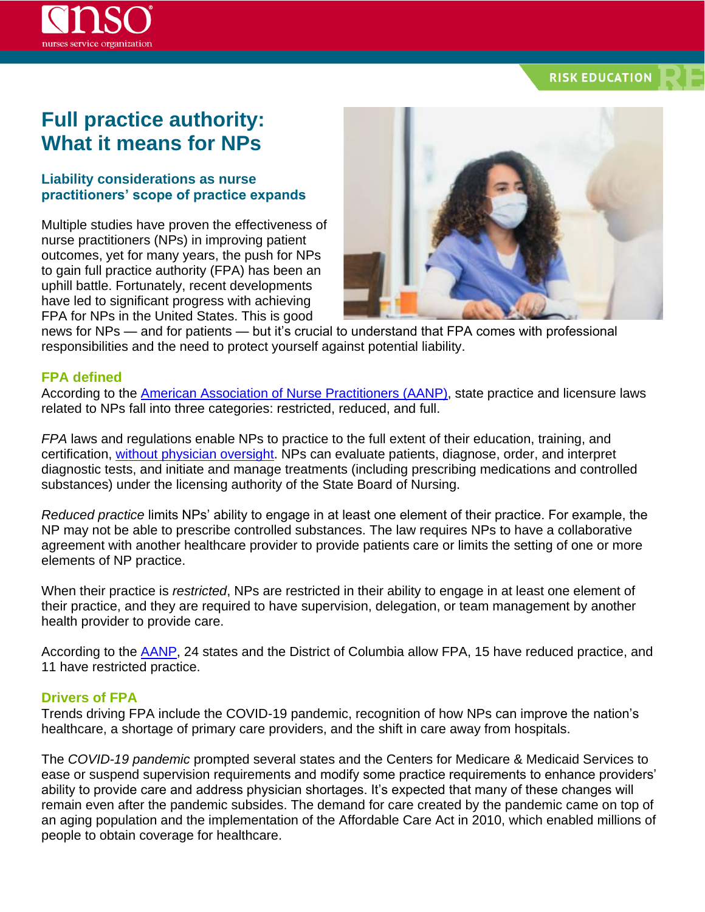#### **RISK EDUCATION**

# **Full practice authority: What it means for NPs**

# **Liability considerations as nurse practitioners' scope of practice expands**

Multiple studies have proven the effectiveness of nurse practitioners (NPs) in improving patient outcomes, yet for many years, the push for NPs to gain full practice authority (FPA) has been an uphill battle. Fortunately, recent developments have led to significant progress with achieving FPA for NPs in the United States. This is good



news for NPs — and for patients — but it's crucial to understand that FPA comes with professional responsibilities and the need to protect yourself against potential liability.

#### **FPA defined**

According to the [American Association of Nurse Practitioners \(AANP\),](https://www.aanp.org/advocacy/state/state-practice-environment) state practice and licensure laws related to NPs fall into three categories: restricted, reduced, and full.

*FPA* laws and regulations enable NPs to practice to the full extent of their education, training, and certification, [without physician oversight.](https://online.simmons.edu/blog/nurse-practitioners-scope-of-practice-map/) NPs can evaluate patients, diagnose, order, and interpret diagnostic tests, and initiate and manage treatments (including prescribing medications and controlled substances) under the licensing authority of the State Board of Nursing.

*Reduced practice* limits NPs' ability to engage in at least one element of their practice. For example, the NP may not be able to prescribe controlled substances. The law requires NPs to have a collaborative agreement with another healthcare provider to provide patients care or limits the setting of one or more elements of NP practice.

When their practice is *restricted*, NPs are restricted in their ability to engage in at least one element of their practice, and they are required to have supervision, delegation, or team management by another health provider to provide care.

According to the [AANP,](https://www.aanp.org/advocacy/state/state-practice-environment) 24 states and the District of Columbia allow FPA, 15 have reduced practice, and 11 have restricted practice.

#### **Drivers of FPA**

Trends driving FPA include the COVID-19 pandemic, recognition of how NPs can improve the nation's healthcare, a shortage of primary care providers, and the shift in care away from hospitals.

The *COVID-19 pandemic* prompted several states and the Centers for Medicare & Medicaid Services to ease or suspend supervision requirements and modify some practice requirements to enhance providers' ability to provide care and address physician shortages. It's expected that many of these changes will remain even after the pandemic subsides. The demand for care created by the pandemic came on top of an aging population and the implementation of the Affordable Care Act in 2010, which enabled millions of people to obtain coverage for healthcare.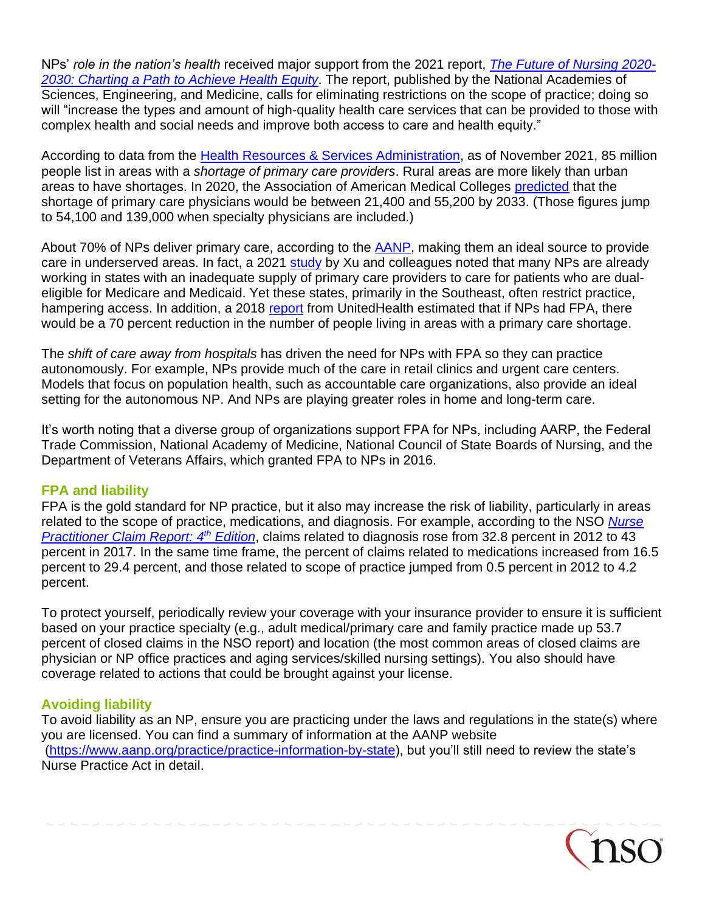NPs' *role in the nation's health* received major support from the 2021 report, *[The Future of Nursing 2020-](https://nam.edu/publications/the-future-of-nursing-2020-2030/) [2030: Charting a Path to Achieve Health Equity](https://nam.edu/publications/the-future-of-nursing-2020-2030/)*. The report, published by the National Academies of Sciences, Engineering, and Medicine, calls for eliminating restrictions on the scope of practice; doing so will "increase the types and amount of high-quality health care services that can be provided to those with complex health and social needs and improve both access to care and health equity."

According to data from the [Health Resources & Services Administration,](https://data.hrsa.gov/topics/health-workforce/shortage-areas) as of November 2021, 85 million people list in areas with a *shortage of primary care providers*. Rural areas are more likely than urban areas to have shortages. In 2020, the Association of American Medical Colleges [predicted](https://www.aamc.org/system/files/2020-06/stratcomm-aamc-physician-workforce-projections-june-2020.pdf) that the shortage of primary care physicians would be between 21,400 and 55,200 by 2033. (Those figures jump to 54,100 and 139,000 when specialty physicians are included.)

About 70% of NPs deliver primary care, according to the [AANP,](https://www.aanp.org/advocacy/state/state-practice-environment) making them an ideal source to provide care in underserved areas. In fact, a 2021 [study](https://www.ajmc.com/view/dual-eligible-beneficiaries-and-inadequate-access-to-primary-care-providers) by Xu and colleagues noted that many NPs are already working in states with an inadequate supply of primary care providers to care for patients who are dualeligible for Medicare and Medicaid. Yet these states, primarily in the Southeast, often restrict practice, hampering access. In addition, a 2018 [report](https://www.unitedhealthgroup.com/content/dam/UHG/PDF/2018/UHG-Primary-Care-Report-2018.pdf) from UnitedHealth estimated that if NPs had FPA, there would be a 70 percent reduction in the number of people living in areas with a primary care shortage.

The *shift of care away from hospitals* has driven the need for NPs with FPA so they can practice autonomously. For example, NPs provide much of the care in retail clinics and urgent care centers. Models that focus on population health, such as accountable care organizations, also provide an ideal setting for the autonomous NP. And NPs are playing greater roles in home and long-term care.

It's worth noting that a diverse group of organizations support FPA for NPs, including AARP, the Federal Trade Commission, National Academy of Medicine, National Council of State Boards of Nursing, and the Department of Veterans Affairs, which granted FPA to NPs in 2016.

## **FPA and liability**

FPA is the gold standard for NP practice, but it also may increase the risk of liability, particularly in areas related to the scope of practice, medications, and diagnosis. For example, according to the NSO *[Nurse](https://www.nso.com/Learning/Artifacts/Claim-Reports/Nurse-Practitioner-Claim-Report-4th-Edition-A-Guide-to-Identifying-and-Addressing-Professional-Liability-Exposures)  [Practitioner Claim Report: 4](https://www.nso.com/Learning/Artifacts/Claim-Reports/Nurse-Practitioner-Claim-Report-4th-Edition-A-Guide-to-Identifying-and-Addressing-Professional-Liability-Exposures)th Edition*, claims related to diagnosis rose from 32.8 percent in 2012 to 43 percent in 2017. In the same time frame, the percent of claims related to medications increased from 16.5 percent to 29.4 percent, and those related to scope of practice jumped from 0.5 percent in 2012 to 4.2 percent.

To protect yourself, periodically review your coverage with your insurance provider to ensure it is sufficient based on your practice specialty (e.g., adult medical/primary care and family practice made up 53.7 percent of closed claims in the NSO report) and location (the most common areas of closed claims are physician or NP office practices and aging services/skilled nursing settings). You also should have coverage related to actions that could be brought against your license.

## **Avoiding liability**

To avoid liability as an NP, ensure you are practicing under the laws and regulations in the state(s) where you are licensed. You can find a summary of information at the AANP website [\(https://www.aanp.org/practice/practice-information-by-state\)](https://www.aanp.org/practice/practice-information-by-state), but you'll still need to review the state's Nurse Practice Act in detail.